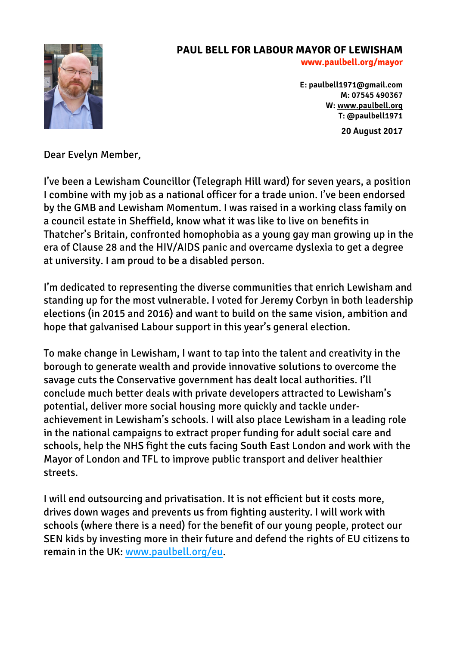

## **PAUL BELL FOR LABOUR MAYOR OF LEWISHAM**

**www.paulbell.org/mayor**

**E: paulbell1971@gmail.com M: 07545 490367 W: www.paulbell.org T: @paulbell1971**

**20 August 2017**

Dear Evelyn Member,

I've been a Lewisham Councillor (Telegraph Hill ward) for seven years, a position I combine with my job as a national officer for a trade union. I've been endorsed by the GMB and Lewisham Momentum. I was raised in a working class family on a council estate in Sheffield, know what it was like to live on benefits in Thatcher's Britain, confronted homophobia as a young gay man growing up in the era of Clause 28 and the HIV/AIDS panic and overcame dyslexia to get a degree at university. I am proud to be a disabled person.

I'm dedicated to representing the diverse communities that enrich Lewisham and standing up for the most vulnerable. I voted for Jeremy Corbyn in both leadership elections (in 2015 and 2016) and want to build on the same vision, ambition and hope that galvanised Labour support in this year's general election.

To make change in Lewisham, I want to tap into the talent and creativity in the borough to generate wealth and provide innovative solutions to overcome the savage cuts the Conservative government has dealt local authorities. I'll conclude much better deals with private developers attracted to Lewisham's potential, deliver more social housing more quickly and tackle underachievement in Lewisham's schools. I will also place Lewisham in a leading role in the national campaigns to extract proper funding for adult social care and schools, help the NHS fight the cuts facing South East London and work with the Mayor of London and TFL to improve public transport and deliver healthier streets.

I will end outsourcing and privatisation. It is not efficient but it costs more, drives down wages and prevents us from fighting austerity. I will work with schools (where there is a need) for the benefit of our young people, protect our SEN kids by investing more in their future and defend the rights of EU citizens to remain in the UK: www.paulbell.org/eu.